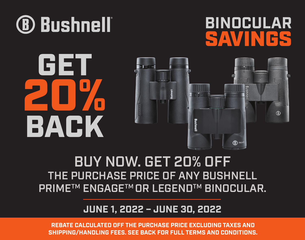

### **BINOCULAR** SAVINGS

# GET 20% BACK



### BUY NOW. GET 20% OFF THE PURCHASE PRICE OF ANY BUSHNELL PRIME™ ENGAGE™ OR LEGEND™ BINOCULAR.

### **JUNE 1, 2022 – JUNE 30, 2022**

**REBATE CALCULATED OFF THE PURCHASE PRICE EXCLUDING TAXES AND SHIPPING/HANDLING FEES. SEE BACK FOR FULL TERMS AND CONDITIONS.**